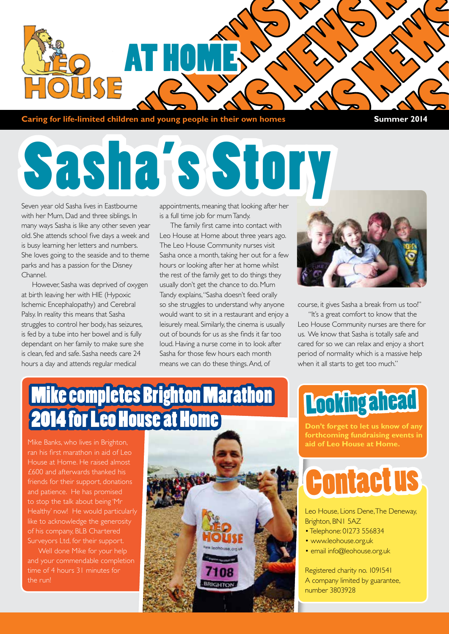

**Caring for life-limited children and young people in their own homes Summer 2014** 

# Sasha's Story

Seven year old Sasha lives in Eastbourne with her Mum, Dad and three siblings. In many ways Sasha is like any other seven year old. She attends school five days a week and is busy learning her letters and numbers. She loves going to the seaside and to theme parks and has a passion for the Disney Channel.

However, Sasha was deprived of oxygen at birth leaving her with HIE (Hypoxic Ischemic Encephalopathy) and Cerebral Palsy. In reality this means that Sasha struggles to control her body, has seizures, is fed by a tube into her bowel and is fully dependant on her family to make sure she is clean, fed and safe. Sasha needs care 24 hours a day and attends regular medical

appointments, meaning that looking after her is a full time job for mum Tandy.

The family first came into contact with Leo House at Home about three years ago. The Leo House Community nurses visit Sasha once a month, taking her out for a few hours or looking after her at home whilst the rest of the family get to do things they usually don't get the chance to do. Mum Tandy explains, "Sasha doesn't feed orally so she struggles to understand why anyone would want to sit in a restaurant and enjoy a leisurely meal. Similarly, the cinema is usually out of bounds for us as she finds it far too loud. Having a nurse come in to look after Sasha for those few hours each month means we can do these things. And, of



course, it gives Sasha a break from us too!"

"It's a great comfort to know that the Leo House Community nurses are there for us. We know that Sasha is totally safe and cared for so we can relax and enjoy a short period of normality which is a massive help when it all starts to get too much."

#### **Mike completes Brighton Marathon 014 for Leo House at Home**

Mike Banks, who lives in Brighton, ran his first marathon in aid of Leo House at Home. He raised almost £600 and afterwards thanked his friends for their support, donations and patience. He has promised to stop the talk about being 'Mr Healthy' now! He would particularly like to acknowledge the generosity of his company, BLB Chartered Surveyors Ltd, for their support.

Well done Mike for your help and your commendable completion



#### Looking ahead

**Don't forget to let us know of any forthcoming fundraising events in aid of Leo House at Home.**

### Contact us

Leo House, Lions Dene, The Deneway, Brighton, BN1 5AZ

- Telephone: 01273 556834
- www.leohouse.org.uk
- email info@leohouse.org.uk

Registered charity no. 1091541 A company limited by guarantee, number 3803928